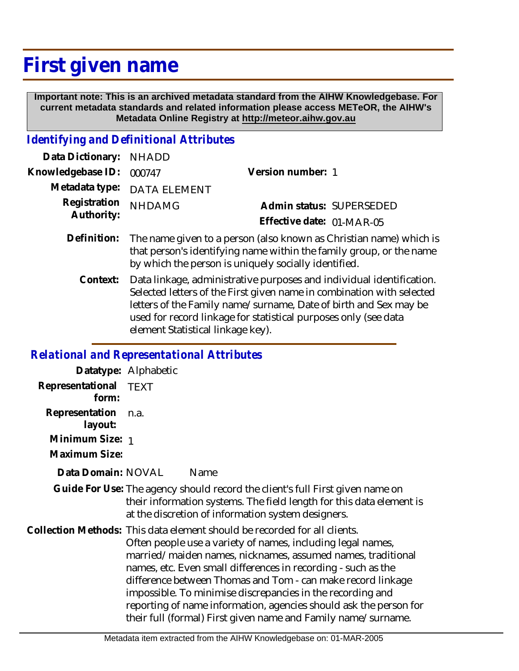## **First given name**

 **Important note: This is an archived metadata standard from the AIHW Knowledgebase. For current metadata standards and related information please access METeOR, the AIHW's Metadata Online Registry at http://meteor.aihw.gov.au**

## *Identifying and Definitional Attributes*

| Data Dictionary: NHADD            |                             |                           |
|-----------------------------------|-----------------------------|---------------------------|
| Knowledgebase ID: 000747          |                             | Version number: 1         |
|                                   | Metadata type: DATA ELEMENT |                           |
| Registration NHDAMG<br>Authority: |                             | Admin status: SUPERSEDED  |
|                                   |                             | Effective date: 01-MAR-05 |
|                                   |                             |                           |

- Definition: The name given to a person (also known as Christian name) which is that person's identifying name within the family group, or the name by which the person is uniquely socially identified.
	- Data linkage, administrative purposes and individual identification. Selected letters of the First given name in combination with selected letters of the Family name/surname, Date of birth and Sex may be used for record linkage for statistical purposes only (see data element Statistical linkage key). **Context:**

## *Relational and Representational Attributes*

|                           | Datatype: Alphabetic                                                                                                                                                                                                                                                                                                                                                                                                                                                                                                                        |  |
|---------------------------|---------------------------------------------------------------------------------------------------------------------------------------------------------------------------------------------------------------------------------------------------------------------------------------------------------------------------------------------------------------------------------------------------------------------------------------------------------------------------------------------------------------------------------------------|--|
| Representational<br>form: | <b>TEXT</b>                                                                                                                                                                                                                                                                                                                                                                                                                                                                                                                                 |  |
| Representation<br>layout: | n.a.                                                                                                                                                                                                                                                                                                                                                                                                                                                                                                                                        |  |
| Minimum Size: 1           |                                                                                                                                                                                                                                                                                                                                                                                                                                                                                                                                             |  |
| Maximum Size:             |                                                                                                                                                                                                                                                                                                                                                                                                                                                                                                                                             |  |
| Data Domain: NOVAL        | Name                                                                                                                                                                                                                                                                                                                                                                                                                                                                                                                                        |  |
|                           | Guide For Use: The agency should record the client's full First given name on<br>their information systems. The field length for this data element is<br>at the discretion of information system designers.                                                                                                                                                                                                                                                                                                                                 |  |
|                           | Collection Methods: This data element should be recorded for all clients.<br>Often people use a variety of names, including legal names,<br>married/maiden names, nicknames, assumed names, traditional<br>names, etc. Even small differences in recording - such as the<br>difference between Thomas and Tom - can make record linkage<br>impossible. To minimise discrepancies in the recording and<br>reporting of name information, agencies should ask the person for<br>their full (formal) First given name and Family name/surname. |  |